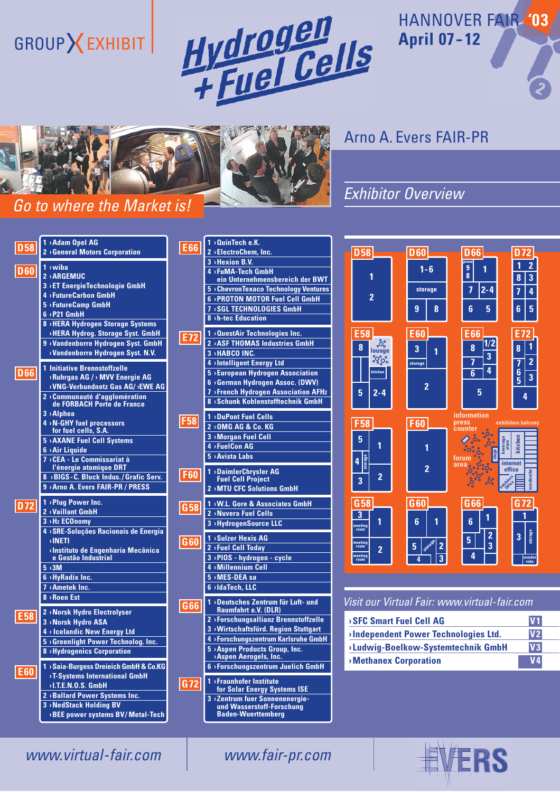# GROUP **X** EXHIBIT



## HANNOVER FAIR **'03 April 07--12**



## *Go to where the Market is!*

# *Go to where the Market is!* Arno A. Evers FAIR-PR

## *Exhibitor Overview*



|                 | <b>OuinTech e.K.</b><br>1                       |
|-----------------|-------------------------------------------------|
| <b>E66</b>      | 2 > ElectroChem, Inc.                           |
|                 | 3 > Hexion B.V.                                 |
|                 | >FuMA-Tech GmbH                                 |
|                 | ein Unternehmensbereich der BWT                 |
|                 | 5 > Chevron Texaco Technology Ventures          |
|                 | 6 > PROTON MOTOR Fuel Cell GmbH                 |
|                 | <b>SGL TECHNOLOGIES GmbH</b><br>7               |
|                 | 8 > h-tec Education                             |
|                 | <b>OuestAir Technologies Inc.</b><br>1          |
| E72             | 2 > ASF THOMAS Industries GmbH                  |
|                 | 3 > HABCO INC.                                  |
|                 | 4 > Intelligent Energy Ltd                      |
|                 | 5 > European Hydrogen Association               |
|                 | 6 > German Hydrogen Assoc. (DWV)                |
|                 | 7 > French Hydrogen Association AFH2            |
|                 | 8 > Schunk Kohlenstofftechnik GmbH              |
|                 | <b>DuPont Fuel Cells</b><br>1                   |
| <b>F58</b>      | 2 > OMG AG & Co. KG                             |
|                 |                                                 |
|                 | 3 > Morgan Fuel Cell                            |
|                 | 4 > FuelCon AG                                  |
|                 | <b>5</b> > Avista Labs                          |
| <b>F60</b>      | <b>DaimlerChrysler AG</b><br>1                  |
|                 | <b>Fuel Cell Project</b>                        |
|                 | 2 > MTU CFC Solutions GmbH                      |
| G <sub>58</sub> | <b>&gt;W.L. Gore &amp; Associates GmbH</b><br>1 |
|                 | >Nuvera Fuel Cells<br>$\overline{2}$            |
|                 | 3 > HydrogenSource LLC                          |
|                 | <b>Sulzer Hexis AG</b><br>1                     |
| G60             | 2 > Fuel Cell Today                             |
|                 | 3 > PIOS - hydrogen - cycle                     |
|                 | 4 > Millennium Cell                             |
|                 | 5 > MES-DEA sa                                  |
|                 | >IdaTech, LLC<br>6                              |
|                 | Deutsches Zentrum für Luft- und<br>1            |
| G <sub>66</sub> | <b>Raumfahrt e.V. (DLR)</b>                     |
|                 | 2 > Forschungsallianz Brennstoffzelle           |
|                 | 3 > Wirtschaftsförd. Region Stuttgart           |
|                 | 4 > Forschungszentrum Karlsruhe GmbH            |
|                 | 5 > Aspen Products Group, Inc.                  |
|                 | <b>Aspen Aerogels, Inc.</b>                     |
|                 | >Forschungszentrum Juelich GmbH<br>6            |
| G72             | <b>&gt;Fraunhofer Institute</b><br>1            |
|                 | for Solar Energy Systems ISE                    |
|                 | 3 > Zentrum fuer Sonnenenergie-                 |



#### *Visit our Virtual Fair: www.virtual-fair.com*

| <b>SFC Smart Fuel Cell AG</b>        | V <sub>1</sub> |
|--------------------------------------|----------------|
| >Independent Power Technologies Ltd. | V <sub>2</sub> |
| >Ludwig-Boelkow-Systemtechnik GmbH   | V3             |
| <b>Methanex Corporation</b>          | V <sub>4</sub> |



*www.virtual-fair.com www.fair-pr.com*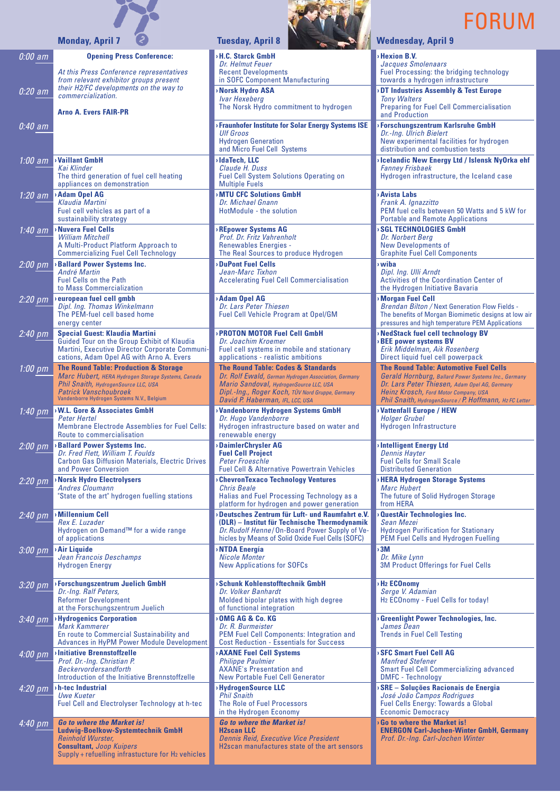

**Opening Press Conference:**

*0:00 am*



**› Hexion B.V.** *Jacques Smolenaars* Fuel Processing: the bridging technology towards a hydrogen infrastructure

**› DT Industries Assembly & Test Europe** *Tony Walters* Preparing for Fuel Cell Commercialisation and Production

**› Forschungszentrum Karlsruhe GmbH** *Dr.-Ing. Ulrich Bielert* New experimental facilities for hydrogen distribution and combustion tests

**› Icelandic New Energy Ltd / Islensk NyOrka ehf** *Fanney Frisbaek* Hydrogen infrastructure, the Iceland case

**Avista Labs** *Frank A. Ignazzitto* PEM fuel cells between 50 Watts and 5 kW for Portable and Remote Applications **SGL TECHNOLOGIES GmbH** 

*Dr. Norbert Berg* New Developments of Graphite Fuel Cell Components

**› wiba** *Dipl. Ing. Ulli Arndt* Activities of the Coordination Center of the Hydrogen Initiative Bavaria

**Morgan Fuel Cell** *Brendan Bilton /* Next Generation Flow Fields - The benefits of Morgan Biomimetic designs at low air pressures and high temperature PEM Applications

**› NedStack fuel cell technology BV › BEE power systems BV** *Erik Middelman, Aik Rosenberg* Direct liquid fuel cell powerpack

**The Round Table: Automotive Fuel Cells** *Gerald Hornburg, Ballard Power Systems Inc., Germany Dr. Lars Peter Thiesen, Adam Opel AG, Germany Heinz Krosch, Ford Motor Company, USA Phil Snaith, HydrogenSource / P. Hoffmann, H2 FC Letter*

**› Vattenfall Europe / HEW** *Holger Grubel* Hydrogen Infrastructure

**› Intelligent Energy Ltd** *Dennis Hayter* Fuel Cells for Small Scale Distributed Generation

**› HERA Hydrogen Storage Systems** *Marc Hubert* The future of Solid Hydrogen Storage from HERA

**QuestAir Technologies Inc.** *Sean Mezei* Hydrogen Purification for Stationary PEM Fuel Cells and Hydrogen Fuelling

**› 3M**  *Dr. Mike Lynn*  3M Product Offerings for Fuel Cells

**› H2 ECOnomy**  *Serge V. Adamian* H2 ECOnomy - Fuel Cells for today!

**› Greenlight Power Technologies, Inc.**  *James Dean* Trends in Fuel Cell Testing

**› SFC Smart Fuel Cell AG**  *Manfred Stefener* Smart Fuel Cell Commercializing advanced DMFC - Technology

**› SRE – Soluções Racionais de Energia**  *José João Campos Rodrigues* Fuel Cells Energy: Towards a Global Economic Democracy

**› Go to where the Market is! ENERGON Carl-Jochen-Winter GmbH, Germany** *Prof. Dr.-Ing. Carl-Jochen Winter*

| 0:20 am             | At this Press Conference representatives<br>from relevant exhibitor groups present<br>their H2/FC developments on the way to<br><i>commercialization</i> |
|---------------------|----------------------------------------------------------------------------------------------------------------------------------------------------------|
|                     | <b>Arno A. Evers FAIR-PR</b>                                                                                                                             |
| <u>0</u> :40 am     |                                                                                                                                                          |
|                     |                                                                                                                                                          |
| 1:00 am             | <b>Vaillant GmbH</b>                                                                                                                                     |
|                     | Kai Klinder<br>The third generation of fuel cell heating                                                                                                 |
| 1:20 am             | appliances on demonstration<br><b>Adam Opel AG</b>                                                                                                       |
|                     | Klaudia Martini<br>Fuel cell vehicles as part of a                                                                                                       |
|                     | sustainability strategy<br><b>&gt;Nuvera Fuel Cells</b>                                                                                                  |
| 1:40 am             | William Mitchell<br>A Multi-Product Platform Approach to                                                                                                 |
|                     | <b>Commercializing Fuel Cell Technology</b>                                                                                                              |
| 2:00 pm             | <b>Ballard Power Systems Inc.</b><br><b>André Martin</b>                                                                                                 |
|                     | <b>Fuel Cells on the Path</b><br>to Mass Commercialization                                                                                               |
| <u>2:20 pm</u>      | european fuel cell gmbh<br>Dipl. Ing. Thomas Winkelmann                                                                                                  |
|                     | The PEM-fuel cell based home<br>energy center                                                                                                            |
| $2.40~\overline{p}$ | <b>Special Guest: Klaudia Martini</b><br>Guided Tour on the Group Exhibit of Klaudia                                                                     |
|                     | Martini, Executive Director Corporate Communi-<br>cations, Adam Opel AG with Arno A. Evers                                                               |
| <u>1:00 pm</u>      | <b>The Round Table: Production &amp; Storage</b>                                                                                                         |
|                     | Marc Hubert, HERA Hydrogen Storage Systems, Canada<br>Phil Snaith, HydrogenSource LLC, USA                                                               |
|                     | <b>Patrick Vanschoubroek</b><br>Vandenborre Hydrogen Systems N.V., Belgium                                                                               |
|                     |                                                                                                                                                          |
| 1:40 pm             | $\rightarrow$ W.L. Gore & Associates GmbH<br>Peter Hertel                                                                                                |
|                     | <b>Membrane Electrode Assemblies for Fuel Cells:</b><br>Route to commercialisation                                                                       |
| 2:00 pm             | <b>Ballard Power Systems Inc.</b>                                                                                                                        |
|                     | Dr. Fred Flett, William T. Foulds<br><b>Carbon Gas Diffusion Materials, Electric Drives</b>                                                              |
| 2:20 pm             | and Power Conversion<br><b>Norsk Hydro Electrolysers</b>                                                                                                 |
|                     | <b>Andres Cloumann</b><br>"State of the art" hydrogen fuelling stations                                                                                  |
| $2:40~\mathrm{pm}$  | <b>Millennium Cell</b>                                                                                                                                   |
|                     | Rex E. Luzader<br>Hydrogen on Demand™ for a wide range                                                                                                   |
|                     | of applications<br>› Air Liquide                                                                                                                         |
| 3:00 pm             | Jean Francois Deschamps<br>Hydrogen Energy                                                                                                               |
|                     | >Forschungszentrum Juelich GmbH                                                                                                                          |
| 3:20 pm             | Dr.-Ing. Ralf Peters,<br><b>Reformer Development</b>                                                                                                     |
|                     | at the Forschungszentrum Juelich                                                                                                                         |
| 3:40 pm             | <b>Hydrogenics Corporation</b><br>Mark Kammerer                                                                                                          |
|                     | En route to Commercial Sustainability and<br>Advances in HyPM Power Module Development                                                                   |
| 4:00 pm             | <b>Initiative Brennstoffzelle</b><br>Prof. Dr.-Ing. Christian P.                                                                                         |
|                     | <b>Beckervordersandforth</b><br>Introduction of the Initiative Brennstoffzelle                                                                           |
| 4:20 pm             | h-tec Industrial<br>Uwe Kueter                                                                                                                           |
|                     | Fuel Cell and Electrolyser Technology at h-tec                                                                                                           |
| 4:40 pm             | <b>Go to where the Market is!</b><br>Ludwig-Boelkow-Systemtechnik GmbH                                                                                   |

Supply + refuelling infrastucture for H<sub>2</sub> vehicles

#### **Monday, April 7 (2) Tuesday, April 8 Wednesday, April 9**

**› H.C. Starck GmbH**  *Dr. Helmut Feuer* Recent Developments in SOFC Component Manufacturing **› Norsk Hydro ASA**

*Ivar Hexeberg* The Norsk Hydro commitment to hydrogen

**› Fraunhofer Institute for Solar Energy Systems ISE** *Ulf Groos* Hydrogen Generation and Micro Fuel Cell Systems **› IdaTech, LLC** *Claude H. Duss* Fuel Cell System Solutions Operating on Multiple Fuels

**› MTU CFC Solutions GmbH** *Dr. Michael Gnann* HotModule - the solution

**› REpower Systems AG** *Prof. Dr. Fritz Vahrenholt* Renewables Energies - The Real Sources to produce Hydrogen

**› DuPont Fuel Cells** *Jean-Marc Tixhon* Accelerating Fuel Cell Commercialisation

**› Adam Opel AG** *Dr. Lars Peter Thiesen* Fuel Cell Vehicle Program at Opel/GM

**› PROTON MOTOR Fuel Cell GmbH** *Dr. Joachim Kroemer* Fuel cell systems in mobile and stationary applications - realistic ambitions

**The Round Table: Codes & Standards** *Dr. Rolf Ewald, German Hydrogen Association, Germany Mario Sandoval, HydrogenSource LLC, USA Dipl.-Ing., Roger Koch, TÜV Nord Gruppe, Germany David P. Haberman, IFL, LCC, USA*

**› Vandenborre Hydrogen Systems GmbH** *Dr. Hugo Vandenborre*  Hydrogen infrastructure based on water and renewable energy

**› DaimlerChrysler AG Fuel Cell Project** *Peter Froeschle* Fuel Cell & Alternative Powertrain Vehicles

**› ChevronTexaco Technology Ventures** *Chris Beale* Halias and Fuel Processing Technology as a platform for hydrogen and power generation

**› Deutsches Zentrum für Luft- und Raumfahrt e.V. (DLR) – Institut für Technische Thermodynamik** *Dr. Rudolf Henne* /On-Board Power Supply of Vehicles by Means of Solid Oxide Fuel Cells (SOFC)

**› NTDA Energía** *Nicole Monter* New Applications for SOFCs

**› Schunk Kohlenstofftechnik GmbH** *Dr. Volker Banhardt* Molded bipolar plates with high degree of functional integration

**› OMG AG & Co. KG** *Dr. R. Burmeister* PEM Fuel Cell Components: Integration and Cost Reduction - Essentials for Success

**› AXANE Fuel Cell Systems** *Philippe Paulmier* AXANE's Presentation and New Portable Fuel Cell Generator

**› HydrogenSource LLC** *Phil Snaith* The Role of Fuel Processors in the Hydrogen Economy

*Go to where the Market is!* **H2scan LLC**  *Dennis Reid, Executive Vice President* H2scan manufactures state of the art sensors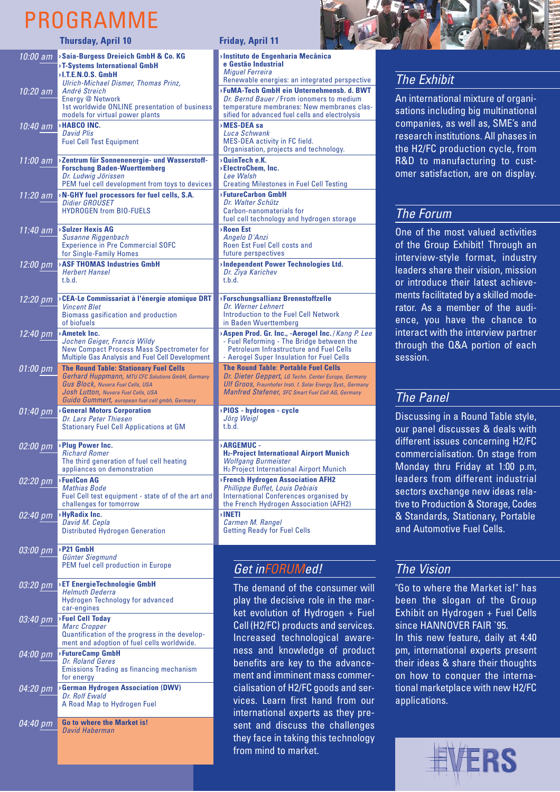## PROGRAMME

|                     | <b>Thursday, April 10</b>                                                                                                                                                                                                                       | <b>Friday, April 11</b>                                                                                                                                                                                                                        |
|---------------------|-------------------------------------------------------------------------------------------------------------------------------------------------------------------------------------------------------------------------------------------------|------------------------------------------------------------------------------------------------------------------------------------------------------------------------------------------------------------------------------------------------|
|                     | 10:00 am > Saia-Burgess Dreieich GmbH & Co. KG<br><b>&gt;T-Systems International GmbH</b><br><b>DET.E.N.O.S. GmbH</b>                                                                                                                           | Instituto de Engenharia Mecânica<br>e Gestão Industrial<br><b>Miguel Ferreira</b>                                                                                                                                                              |
| 10:20 am            | Ulrich-Michael Dismer, Thomas Prinz,<br>André Streich<br>Energy @ Network<br>1st worldwide ONLINE presentation of business<br>models for virtual power plants                                                                                   | Renewable energies: an integrated perspective<br><b>FuMA-Tech GmbH ein Unternehmensb. d. BWT</b><br>Dr. Bernd Bauer / From ionomers to medium<br>temperature membranes: New membranes clas-<br>sified for advanced fuel cells and electrolysis |
| 10:40 am            | <b>&gt;HABCO INC.</b><br><b>David Plis</b><br><b>Fuel Cell Test Equipment</b>                                                                                                                                                                   | MES-DEA sa<br>Luca Schwank<br>MES-DEA activity in FC field.<br>Organisation, projects and technology.                                                                                                                                          |
| 11:00 am            | >Zentrum für Sonnenenergie- und Wasserstoff-<br><b>Forschung Baden-Wuerttemberg</b><br>Dr. Ludwig Jörissen<br>PEM fuel cell development from toys to devices                                                                                    | $0$ uinTech e.K.<br>>ElectroChem. Inc.<br>Lee Walsh<br><b>Creating Milestones in Fuel Cell Testing</b>                                                                                                                                         |
| 11:20 am            | $\cdot$ N-GHY fuel processors for fuel cells, S.A.<br>Didier GROUSET<br><b>HYDROGEN from BIO-FUELS</b>                                                                                                                                          | >FutureCarbon GmbH<br>Dr. Walter Schütz<br>Carbon-nanomaterials for<br>fuel cell technology and hydrogen storage                                                                                                                               |
| 11:40 am            | <b>Sulzer Hexis AG</b><br>Susanne Riggenbach<br><b>Experience in Pre Commercial SOFC</b><br>for Single-Family Homes                                                                                                                             | <b>Roen Est</b><br>Angelo D'Anzi<br>Roen Est Fuel Cell costs and<br>future perspectives                                                                                                                                                        |
| $12:00~\mathrm{pm}$ | <b>ASF THOMAS Industries GmbH</b><br><b>Herbert Hansel</b><br>t.b.d.                                                                                                                                                                            | Independent Power Technologies Ltd.<br>Dr. Ziya Karichev<br>t.b.d.                                                                                                                                                                             |
| 12:20 pm            | > CEA-Le Commissariat à l'énergie atomique DRT<br><b>Vincent Blet</b><br>Biomass gasification and production<br>of biofuels                                                                                                                     | <b>&gt;Forschungsallianz Brennstoffzelle</b><br>Dr. Werner Lehnert<br>Introduction to the Fuel Cell Network<br>in Baden Wuerttemberg                                                                                                           |
| 12:40 pm            | > Ametek Inc.<br>Jochen Geiger, Francis Wildy<br><b>New Compact Process Mass Spectrometer for</b><br>Multiple Gas Analysis and Fuel Cell Development                                                                                            | <b>Aspen Prod. Gr. Inc., -Aerogel Inc.</b> / Kang P. Lee<br>- Fuel Reforming - The Bridge between the<br><b>Petroleum Infrastructure and Fuel Cells</b><br>- Aerogel Super Insulation for Fuel Cells                                           |
| 01:00 pm            | <b>The Round Table: Stationary Fuel Cells</b><br><b>Gerhard Huppmann, MTU CFC Solutions GmbH, Germany</b><br><b>Gus Block, Nuvera Fuel Cells, USA</b><br>Josh Lutton, Nuvera Fuel Cells, USA<br>Guido Gummert, european fuel cell gmbh, Germany | <b>The Round Table: Portable Fuel Cells</b><br>Dr. Dieter Geppert, LG Techn. Center Europe, Germany<br>Ulf Groos, Fraunhofer Insti. f. Solar Energy Syst., Germany<br><b>Manfred Stefener, SFC Smart Fuel Cell AG, Germany</b>                 |
| 01:40 pm            | <b>General Motors Corporation</b><br>Dr. Lars Peter Thiesen<br><b>Stationary Fuel Cell Applications at GM</b>                                                                                                                                   | PIOS - hydrogen - cycle<br>Jörg Weigl<br>t.b.d.                                                                                                                                                                                                |
| 02:00 pm            | >Plug Power Inc.<br><b>Richard Romer</b><br>The third generation of fuel cell heating<br>appliances on demonstration                                                                                                                            | <b>ARGEMUC -</b><br><b>H2-Project International Airport Munich</b><br><b>Wolfgang Burmeister</b><br>H <sub>2</sub> -Project International Airport Munich                                                                                       |
| 02:20 pm            | <b>&gt;FuelCon AG</b><br>Mathias Bode<br>Fuel Cell test equipment - state of of the art and<br>challenges for tomorrow                                                                                                                          | <b>&gt;French Hydrogen Association AFH2</b><br><b>Phillippe Buffet, Louis Debiais</b><br>International Conferences organised by<br>the French Hydrogen Association (AFH2)                                                                      |
| 02:40 pm            | >HyRadix Inc.<br>David M. Cepla<br><b>Distributed Hydrogen Generation</b>                                                                                                                                                                       | <b>INETI</b><br>Carmen M. Rangel<br><b>Getting Ready for Fuel Cells</b>                                                                                                                                                                        |
| 03:00 pm            | <b>P21 GmbH</b><br>Günter Siegmund<br>PEM fuel cell production in Europe                                                                                                                                                                        | Get inFORUMed!                                                                                                                                                                                                                                 |
| 03:20 pm            | <b>&gt;ET EnergieTechnologie GmbH</b><br><b>Helmuth Dederra</b><br><b>Hydrogen Technology for advanced</b><br>car-engines                                                                                                                       | The demand of the consumer will<br>play the decisive role in the mar-<br>ket evolution of Hydrogen + Fuel                                                                                                                                      |
| 03:40 pm            | >Fuel Cell Today<br>Marc Cropper<br>Quantification of the progress in the develop-<br>ment and adoption of fuel cells worldwide.                                                                                                                | Cell (H2/FC) products and services.<br>Increased technological aware-                                                                                                                                                                          |
| 04:00 pm            | >FutureCamp GmbH<br>Dr. Roland Geres<br>Emissions Trading as financing mechanism<br>for energy                                                                                                                                                  | ness and knowledge of product<br>benefits are key to the advance-<br>ment and imminent mass commer-                                                                                                                                            |
| 04:20 pm            | <b>&gt;German Hydrogen Association (DWV)</b><br>Dr. Rolf Ewald<br>A Road Map to Hydrogen Fuel                                                                                                                                                   | cialisation of H2/FC goods and ser-<br>vices. Learn first hand from our<br>international experts as they pre-                                                                                                                                  |
| 04:40 pm            | Go to where the Market is!<br>David Haberman                                                                                                                                                                                                    | sent and discuss the challenges<br>they face in taking this technology<br>from mind to market.                                                                                                                                                 |



### *The Exhibit*

An international mixture of organisations including big multinational companies, as well as, SME's and research institutions. All phases in the H2/FC production cycle, from R&D to manufacturing to customer satisfaction, are on display.

### *The Forum*

One of the most valued activities of the Group Exhibit! Through an interview-style format, industry leaders share their vision, mission or introduce their latest achievements facilitated by a skilled moderator. As a member of the audience, you have the chance to interact with the interview partner through the Q&A portion of each session.

### *The Panel*

Discussing in a Round Table style, our panel discusses & deals with different issues concerning H2/FC commercialisation. On stage from Monday thru Friday at 1:00 p.m, leaders from different industrial sectors exchange new ideas relative to Production & Storage, Codes & Standards, Stationary, Portable and Automotive Fuel Cells.

### *The Vision*

"Go to where the Market is!" has been the slogan of the Group Exhibit on Hydrogen + Fuel Cells since HANNOVER FAIR `95. In this new feature, daily at 4:40 pm, international experts present their ideas & share their thoughts on how to conquer the international marketplace with new H2/FC applications.